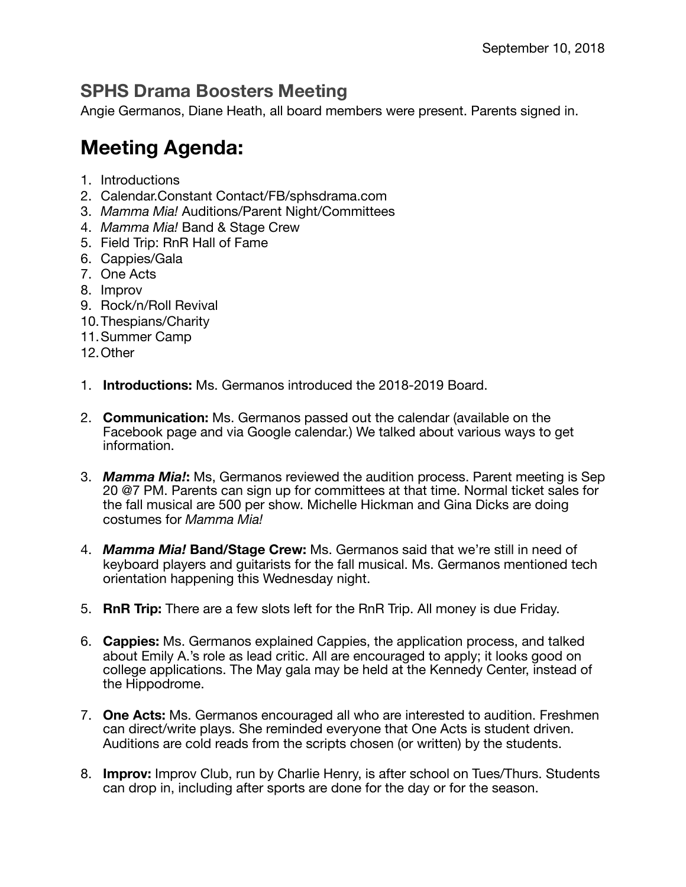## **SPHS Drama Boosters Meeting**

Angie Germanos, Diane Heath, all board members were present. Parents signed in.

## **Meeting Agenda:**

- 1. Introductions
- 2. Calendar.Constant Contact/FB/sphsdrama.com
- 3. *Mamma Mia!* Auditions/Parent Night/Committees
- 4. *Mamma Mia!* Band & Stage Crew
- 5. Field Trip: RnR Hall of Fame
- 6. Cappies/Gala
- 7. One Acts
- 8. Improv
- 9. Rock/n/Roll Revival
- 10.Thespians/Charity
- 11.Summer Camp
- 12.Other
- 1. **Introductions:** Ms. Germanos introduced the 2018-2019 Board.
- 2. **Communication:** Ms. Germanos passed out the calendar (available on the Facebook page and via Google calendar.) We talked about various ways to get information.
- 3. *Mamma Mia!***:** Ms, Germanos reviewed the audition process. Parent meeting is Sep 20 @7 PM. Parents can sign up for committees at that time. Normal ticket sales for the fall musical are 500 per show. Michelle Hickman and Gina Dicks are doing costumes for *Mamma Mia!*
- 4. *Mamma Mia!* **Band/Stage Crew:** Ms. Germanos said that we're still in need of keyboard players and guitarists for the fall musical. Ms. Germanos mentioned tech orientation happening this Wednesday night.
- 5. **RnR Trip:** There are a few slots left for the RnR Trip. All money is due Friday.
- 6. **Cappies:** Ms. Germanos explained Cappies, the application process, and talked about Emily A.'s role as lead critic. All are encouraged to apply; it looks good on college applications. The May gala may be held at the Kennedy Center, instead of the Hippodrome.
- 7. **One Acts:** Ms. Germanos encouraged all who are interested to audition. Freshmen can direct/write plays. She reminded everyone that One Acts is student driven. Auditions are cold reads from the scripts chosen (or written) by the students.
- 8. **Improv:** Improv Club, run by Charlie Henry, is after school on Tues/Thurs. Students can drop in, including after sports are done for the day or for the season.